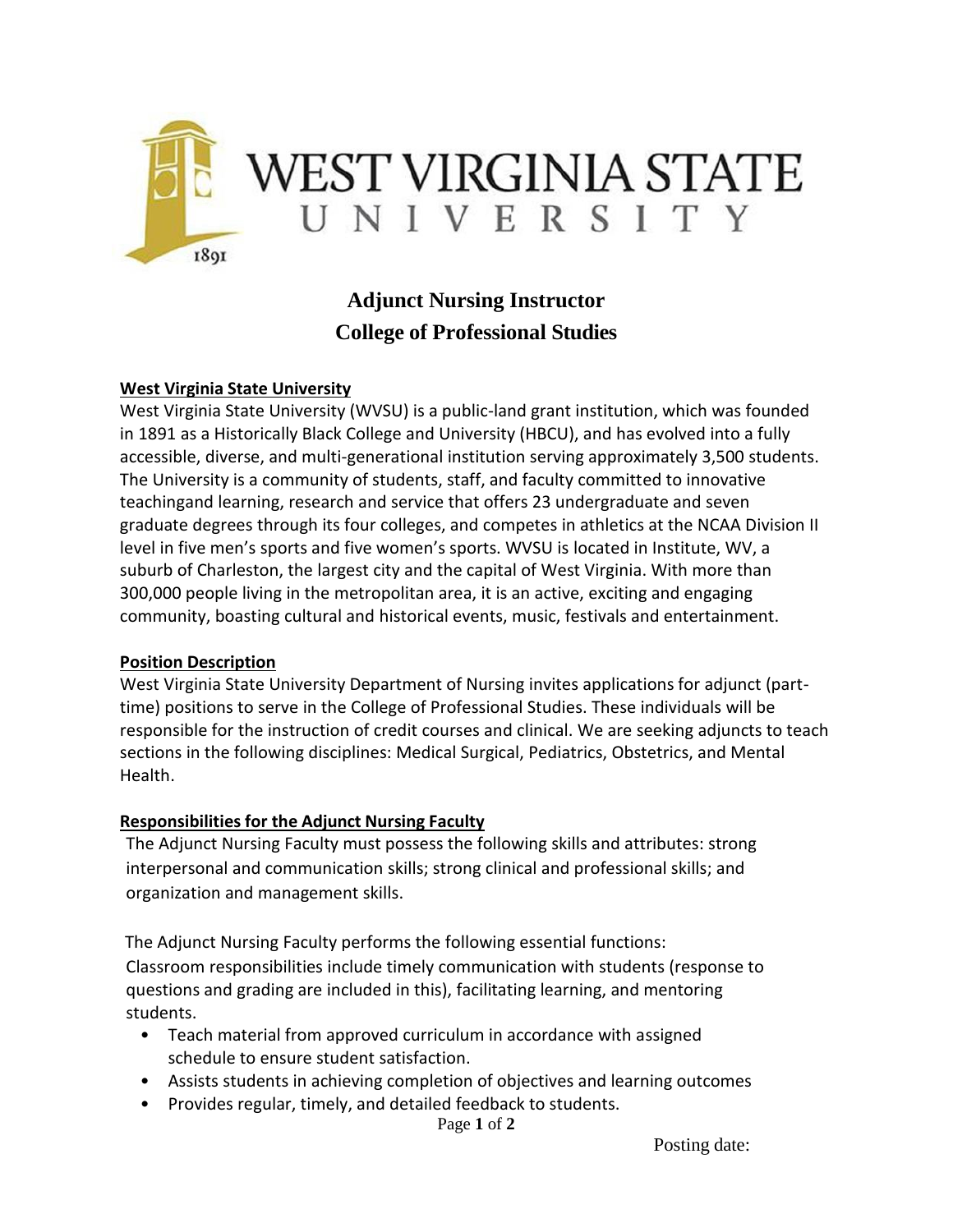

# **Adjunct Nursing Instructor College of Professional Studies**

### **West Virginia State University**

West Virginia State University (WVSU) is a public-land grant institution, which was founded in 1891 as a Historically Black College and University (HBCU), and has evolved into a fully accessible, diverse, and multi-generational institution serving approximately 3,500 students. The University is a community of students, staff, and faculty committed to innovative teachingand learning, research and service that offers 23 undergraduate and seven graduate degrees through its four colleges, and competes in athletics at the NCAA Division II level in five men's sports and five women's sports. WVSU is located in Institute, WV, a suburb of Charleston, the largest city and the capital of West Virginia. With more than 300,000 people living in the metropolitan area, it is an active, exciting and engaging community, boasting cultural and historical events, music, festivals and entertainment.

### **Position Description**

West Virginia State University Department of Nursing invites applications for adjunct (parttime) positions to serve in the College of Professional Studies. These individuals will be responsible for the instruction of credit courses and clinical. We are seeking adjuncts to teach sections in the following disciplines: Medical Surgical, Pediatrics, Obstetrics, and Mental Health.

### **Responsibilities for the Adjunct Nursing Faculty**

The Adjunct Nursing Faculty must possess the following skills and attributes: strong interpersonal and communication skills; strong clinical and professional skills; and organization and management skills.

 The Adjunct Nursing Faculty performs the following essential functions: Classroom responsibilities include timely communication with students (response to questions and grading are included in this), facilitating learning, and mentoring students.

- Teach material from approved curriculum in accordance with assigned schedule to ensure student satisfaction.
- Assists students in achieving completion of objectives and learning outcomes
- Provides regular, timely, and detailed feedback to students.

Posting date: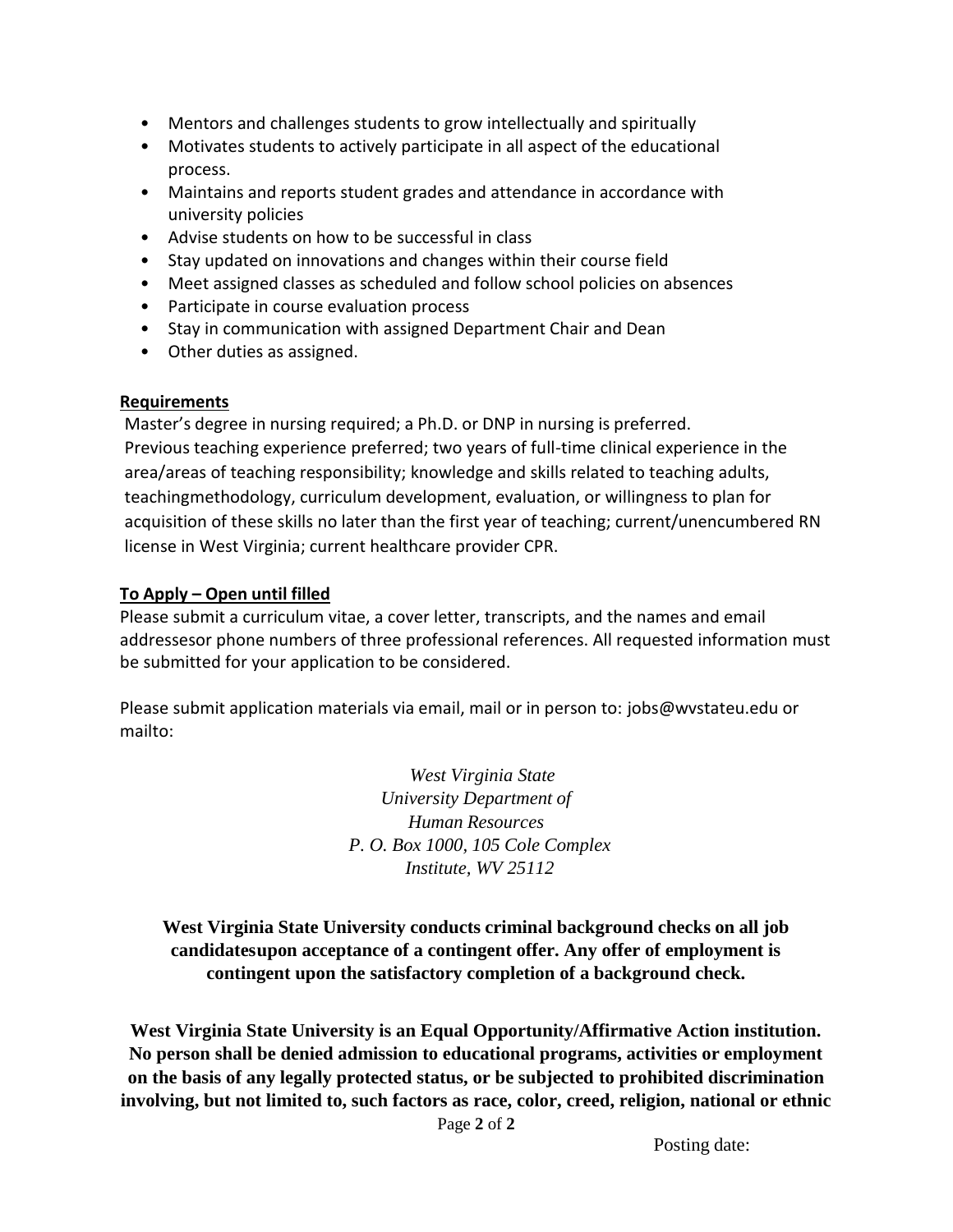- Mentors and challenges students to grow intellectually and spiritually
- Motivates students to actively participate in all aspect of the educational process.
- Maintains and reports student grades and attendance in accordance with university policies
- Advise students on how to be successful in class
- Stay updated on innovations and changes within their course field
- Meet assigned classes as scheduled and follow school policies on absences
- Participate in course evaluation process
- Stay in communication with assigned Department Chair and Dean
- Other duties as assigned.

### **Requirements**

Master's degree in nursing required; a Ph.D. or DNP in nursing is preferred. Previous teaching experience preferred; two years of full-time clinical experience in the area/areas of teaching responsibility; knowledge and skills related to teaching adults, teachingmethodology, curriculum development, evaluation, or willingness to plan for acquisition of these skills no later than the first year of teaching; current/unencumbered RN license in West Virginia; current healthcare provider CPR.

# **To Apply – Open until filled**

Please submit a curriculum vitae, a cover letter, transcripts, and the names and email addressesor phone numbers of three professional references. All requested information must be submitted for your application to be considered.

Please submit application materials via email, mail or in person to: [jobs@wvstateu.edu o](mailto:jobs@wvstateu.edu)r mailto:

> *West Virginia State University Department of Human Resources P. O. Box 1000, 105 Cole Complex Institute, WV 25112*

# **West Virginia State University conducts criminal background checks on all job candidatesupon acceptance of a contingent offer. Any offer of employment is contingent upon the satisfactory completion of a background check.**

**West Virginia State University is an Equal Opportunity/Affirmative Action institution. No person shall be denied admission to educational programs, activities or employment on the basis of any legally protected status, or be subjected to prohibited discrimination involving, but not limited to, such factors as race, color, creed, religion, national or ethnic** 

Posting date: